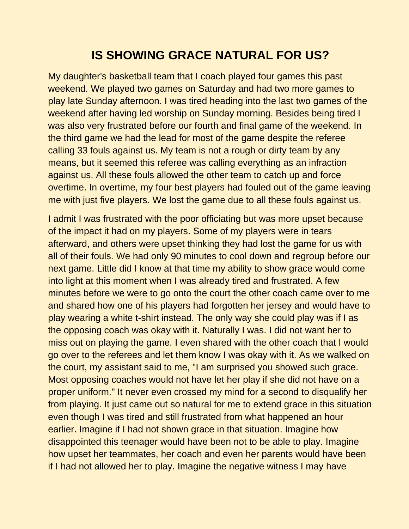# **IS SHOWING GRACE NATURAL FOR US?**

My daughter's basketball team that I coach played four games this past weekend. We played two games on Saturday and had two more games to play late Sunday afternoon. I was tired heading into the last two games of the weekend after having led worship on Sunday morning. Besides being tired I was also very frustrated before our fourth and final game of the weekend. In the third game we had the lead for most of the game despite the referee calling 33 fouls against us. My team is not a rough or dirty team by any means, but it seemed this referee was calling everything as an infraction against us. All these fouls allowed the other team to catch up and force overtime. In overtime, my four best players had fouled out of the game leaving me with just five players. We lost the game due to all these fouls against us.

I admit I was frustrated with the poor officiating but was more upset because of the impact it had on my players. Some of my players were in tears afterward, and others were upset thinking they had lost the game for us with all of their fouls. We had only 90 minutes to cool down and regroup before our next game. Little did I know at that time my ability to show grace would come into light at this moment when I was already tired and frustrated. A few minutes before we were to go onto the court the other coach came over to me and shared how one of his players had forgotten her jersey and would have to play wearing a white t-shirt instead. The only way she could play was if I as the opposing coach was okay with it. Naturally I was. I did not want her to miss out on playing the game. I even shared with the other coach that I would go over to the referees and let them know I was okay with it. As we walked on the court, my assistant said to me, "I am surprised you showed such grace. Most opposing coaches would not have let her play if she did not have on a proper uniform." It never even crossed my mind for a second to disqualify her from playing. It just came out so natural for me to extend grace in this situation even though I was tired and still frustrated from what happened an hour earlier. Imagine if I had not shown grace in that situation. Imagine how disappointed this teenager would have been not to be able to play. Imagine how upset her teammates, her coach and even her parents would have been if I had not allowed her to play. Imagine the negative witness I may have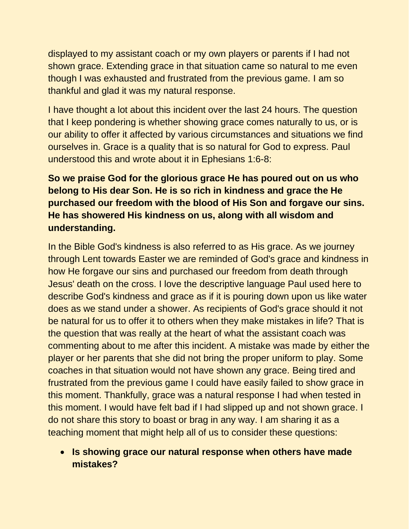displayed to my assistant coach or my own players or parents if I had not shown grace. Extending grace in that situation came so natural to me even though I was exhausted and frustrated from the previous game. I am so thankful and glad it was my natural response.

I have thought a lot about this incident over the last 24 hours. The question that I keep pondering is whether showing grace comes naturally to us, or is our ability to offer it affected by various circumstances and situations we find ourselves in. Grace is a quality that is so natural for God to express. Paul understood this and wrote about it in Ephesians 1:6-8:

## **So we praise God for the glorious grace He has poured out on us who belong to His dear Son. He is so rich in kindness and grace the He purchased our freedom with the blood of His Son and forgave our sins. He has showered His kindness on us, along with all wisdom and understanding.**

In the Bible God's kindness is also referred to as His grace. As we journey through Lent towards Easter we are reminded of God's grace and kindness in how He forgave our sins and purchased our freedom from death through Jesus' death on the cross. I love the descriptive language Paul used here to describe God's kindness and grace as if it is pouring down upon us like water does as we stand under a shower. As recipients of God's grace should it not be natural for us to offer it to others when they make mistakes in life? That is the question that was really at the heart of what the assistant coach was commenting about to me after this incident. A mistake was made by either the player or her parents that she did not bring the proper uniform to play. Some coaches in that situation would not have shown any grace. Being tired and frustrated from the previous game I could have easily failed to show grace in this moment. Thankfully, grace was a natural response I had when tested in this moment. I would have felt bad if I had slipped up and not shown grace. I do not share this story to boast or brag in any way. I am sharing it as a teaching moment that might help all of us to consider these questions:

#### • **Is showing grace our natural response when others have made mistakes?**